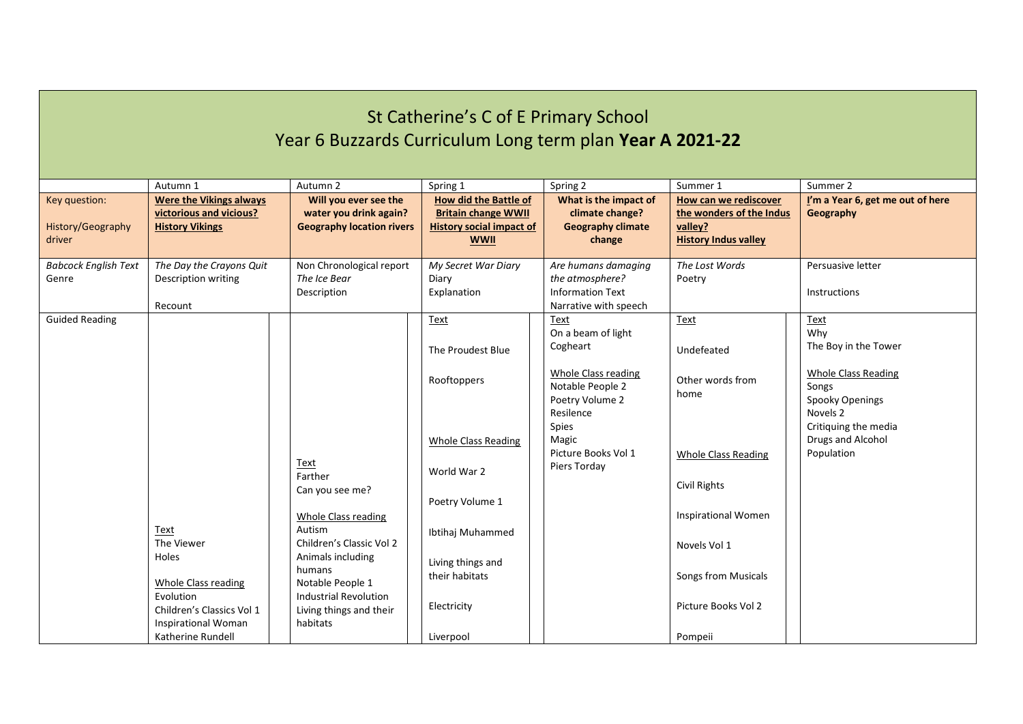| St Catherine's C of E Primary School<br>Year 6 Buzzards Curriculum Long term plan Year A 2021-22 |                                                                                                                         |                                                                                                                             |                                                                                                                              |                                                                                                                                                                            |                                                                                                                                            |                                                                                                                                                                      |  |
|--------------------------------------------------------------------------------------------------|-------------------------------------------------------------------------------------------------------------------------|-----------------------------------------------------------------------------------------------------------------------------|------------------------------------------------------------------------------------------------------------------------------|----------------------------------------------------------------------------------------------------------------------------------------------------------------------------|--------------------------------------------------------------------------------------------------------------------------------------------|----------------------------------------------------------------------------------------------------------------------------------------------------------------------|--|
|                                                                                                  | Autumn 1                                                                                                                | Autumn 2                                                                                                                    | Spring 1                                                                                                                     | Spring 2                                                                                                                                                                   | Summer 1                                                                                                                                   | Summer 2                                                                                                                                                             |  |
| Key question:<br>History/Geography<br>driver                                                     | <b>Were the Vikings always</b><br>victorious and vicious?<br><b>History Vikings</b>                                     | Will you ever see the<br>water you drink again?<br><b>Geography location rivers</b>                                         | <b>How did the Battle of</b><br><b>Britain change WWII</b><br><b>History social impact of</b><br><b>WWII</b>                 | What is the impact of<br>climate change?<br><b>Geography climate</b><br>change                                                                                             | How can we rediscover<br>the wonders of the Indus<br>valley?<br><b>History Indus valley</b>                                                | I'm a Year 6, get me out of here<br>Geography                                                                                                                        |  |
| <b>Babcock English Text</b>                                                                      | The Day the Crayons Quit                                                                                                | Non Chronological report                                                                                                    | My Secret War Diary                                                                                                          | Are humans damaging                                                                                                                                                        | The Lost Words                                                                                                                             | Persuasive letter                                                                                                                                                    |  |
| Genre                                                                                            | Description writing                                                                                                     | The Ice Bear<br>Description                                                                                                 | Diary<br>Explanation                                                                                                         | the atmosphere?<br><b>Information Text</b>                                                                                                                                 | Poetry                                                                                                                                     | <b>Instructions</b>                                                                                                                                                  |  |
|                                                                                                  | Recount                                                                                                                 |                                                                                                                             |                                                                                                                              | Narrative with speech                                                                                                                                                      |                                                                                                                                            |                                                                                                                                                                      |  |
| <b>Guided Reading</b>                                                                            | Text<br>The Viewer<br><b>Holes</b>                                                                                      | Text<br>Farther<br>Can you see me?<br><b>Whole Class reading</b><br>Autism<br>Children's Classic Vol 2<br>Animals including | Text<br>The Proudest Blue<br>Rooftoppers<br><b>Whole Class Reading</b><br>World War 2<br>Poetry Volume 1<br>Ibtihaj Muhammed | Text<br>On a beam of light<br>Cogheart<br>Whole Class reading<br>Notable People 2<br>Poetry Volume 2<br>Resilence<br>Spies<br>Magic<br>Picture Books Vol 1<br>Piers Torday | <b>Text</b><br>Undefeated<br>Other words from<br>home<br><b>Whole Class Reading</b><br>Civil Rights<br>Inspirational Women<br>Novels Vol 1 | Text<br>Why<br>The Boy in the Tower<br><b>Whole Class Reading</b><br>Songs<br>Spooky Openings<br>Novels 2<br>Critiquing the media<br>Drugs and Alcohol<br>Population |  |
|                                                                                                  | <b>Whole Class reading</b><br>Evolution<br>Children's Classics Vol 1<br><b>Inspirational Woman</b><br>Katherine Rundell | humans<br>Notable People 1<br><b>Industrial Revolution</b><br>Living things and their<br>habitats                           | Living things and<br>their habitats<br>Electricity<br>Liverpool                                                              |                                                                                                                                                                            | Songs from Musicals<br>Picture Books Vol 2<br>Pompeii                                                                                      |                                                                                                                                                                      |  |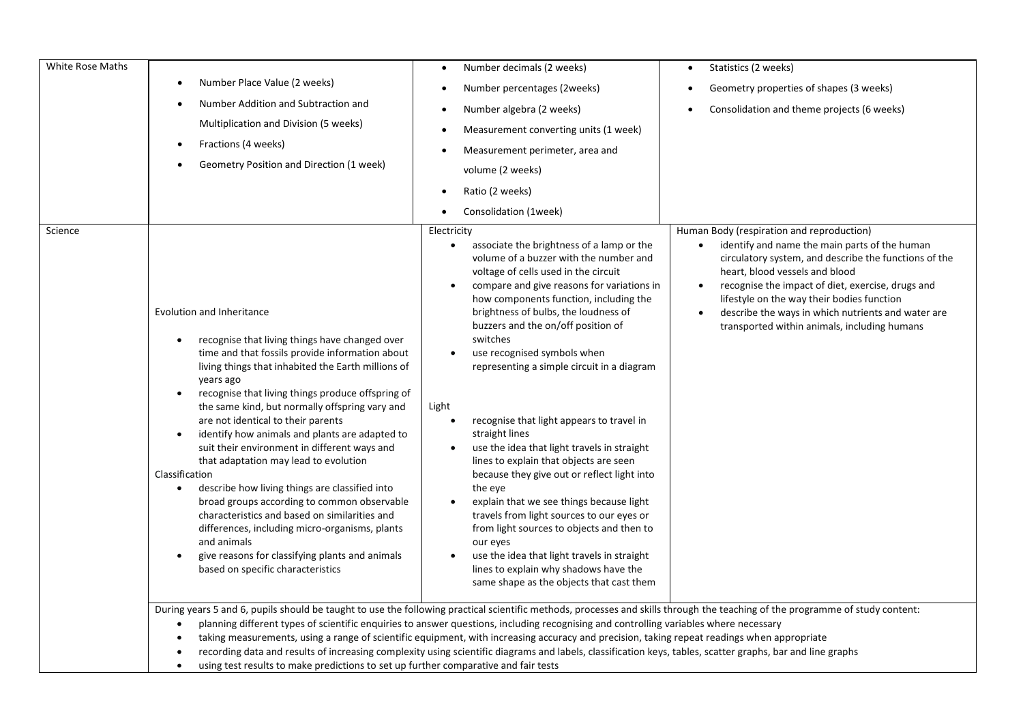| White Rose Maths | Number Place Value (2 weeks)<br>Number Addition and Subtraction and<br>Multiplication and Division (5 weeks)<br>Fractions (4 weeks)<br>$\bullet$<br>Geometry Position and Direction (1 week)                                                                                                                                                                                                                                                                                                                                                                                                                                                                                                                                                                                                                                                                               | Number decimals (2 weeks)<br>$\bullet$<br>Number percentages (2weeks)<br>Number algebra (2 weeks)<br>Measurement converting units (1 week)<br>Measurement perimeter, area and<br>volume (2 weeks)<br>Ratio (2 weeks)<br>Consolidation (1week)                                                                                                                                                                                                                                                                                                                                                                                                                                                                                                                                                                                                                                                                                                                                  | Statistics (2 weeks)<br>$\bullet$<br>Geometry properties of shapes (3 weeks)<br>Consolidation and theme projects (6 weeks)                                                                                                                                                                                                                                                                                  |  |  |  |
|------------------|----------------------------------------------------------------------------------------------------------------------------------------------------------------------------------------------------------------------------------------------------------------------------------------------------------------------------------------------------------------------------------------------------------------------------------------------------------------------------------------------------------------------------------------------------------------------------------------------------------------------------------------------------------------------------------------------------------------------------------------------------------------------------------------------------------------------------------------------------------------------------|--------------------------------------------------------------------------------------------------------------------------------------------------------------------------------------------------------------------------------------------------------------------------------------------------------------------------------------------------------------------------------------------------------------------------------------------------------------------------------------------------------------------------------------------------------------------------------------------------------------------------------------------------------------------------------------------------------------------------------------------------------------------------------------------------------------------------------------------------------------------------------------------------------------------------------------------------------------------------------|-------------------------------------------------------------------------------------------------------------------------------------------------------------------------------------------------------------------------------------------------------------------------------------------------------------------------------------------------------------------------------------------------------------|--|--|--|
| Science          | Evolution and Inheritance<br>recognise that living things have changed over<br>$\bullet$<br>time and that fossils provide information about<br>living things that inhabited the Earth millions of<br>years ago<br>recognise that living things produce offspring of<br>$\bullet$<br>the same kind, but normally offspring vary and<br>are not identical to their parents<br>identify how animals and plants are adapted to<br>$\bullet$<br>suit their environment in different ways and<br>that adaptation may lead to evolution<br>Classification<br>describe how living things are classified into<br>$\bullet$<br>broad groups according to common observable<br>characteristics and based on similarities and<br>differences, including micro-organisms, plants<br>and animals<br>give reasons for classifying plants and animals<br>based on specific characteristics | Electricity<br>associate the brightness of a lamp or the<br>$\bullet$<br>volume of a buzzer with the number and<br>voltage of cells used in the circuit<br>compare and give reasons for variations in<br>how components function, including the<br>brightness of bulbs, the loudness of<br>buzzers and the on/off position of<br>switches<br>use recognised symbols when<br>$\bullet$<br>representing a simple circuit in a diagram<br>Light<br>recognise that light appears to travel in<br>straight lines<br>use the idea that light travels in straight<br>$\bullet$<br>lines to explain that objects are seen<br>because they give out or reflect light into<br>the eye<br>explain that we see things because light<br>$\bullet$<br>travels from light sources to our eyes or<br>from light sources to objects and then to<br>our eyes<br>use the idea that light travels in straight<br>lines to explain why shadows have the<br>same shape as the objects that cast them | Human Body (respiration and reproduction)<br>identify and name the main parts of the human<br>circulatory system, and describe the functions of the<br>heart, blood vessels and blood<br>recognise the impact of diet, exercise, drugs and<br>lifestyle on the way their bodies function<br>describe the ways in which nutrients and water are<br>$\bullet$<br>transported within animals, including humans |  |  |  |
|                  | During years 5 and 6, pupils should be taught to use the following practical scientific methods, processes and skills through the teaching of the programme of study content:<br>planning different types of scientific enquiries to answer questions, including recognising and controlling variables where necessary<br>$\bullet$<br>taking measurements, using a range of scientific equipment, with increasing accuracy and precision, taking repeat readings when appropriate<br>recording data and results of increasing complexity using scientific diagrams and labels, classification keys, tables, scatter graphs, bar and line graphs<br>$\bullet$                                                                                                                                                                                                              |                                                                                                                                                                                                                                                                                                                                                                                                                                                                                                                                                                                                                                                                                                                                                                                                                                                                                                                                                                                |                                                                                                                                                                                                                                                                                                                                                                                                             |  |  |  |

• using test results to make predictions to set up further comparative and fair tests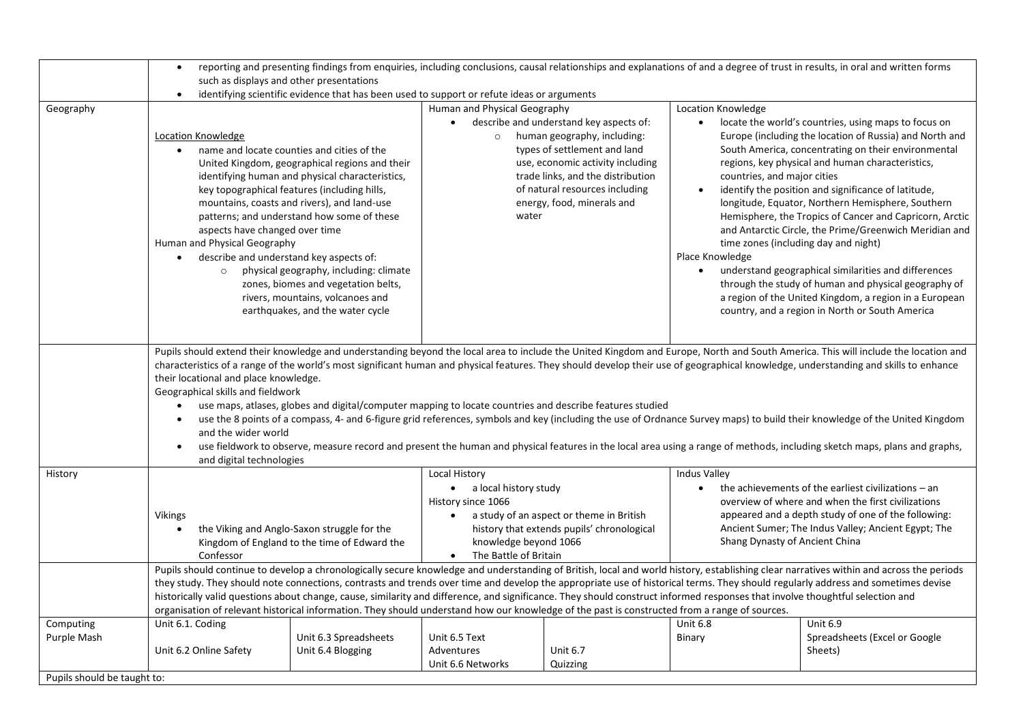|                                                         | reporting and presenting findings from enquiries, including conclusions, causal relationships and explanations of and a degree of trust in results, in oral and written forms<br>$\bullet$<br>such as displays and other presentations<br>identifying scientific evidence that has been used to support or refute ideas or arguments<br>$\bullet$                                                                                                                                                                                                                                                                                                                                                                                                                                                                                                                                                                                                                                                                                                                                                                                                                                                                                                                                                                                                                                                                                                                                                                                                                                                                                                                                                                                                          |                                            |                                                                                                                                                                                                          |                             |                                                                                                                                                                                                                                                                          |                                                      |
|---------------------------------------------------------|------------------------------------------------------------------------------------------------------------------------------------------------------------------------------------------------------------------------------------------------------------------------------------------------------------------------------------------------------------------------------------------------------------------------------------------------------------------------------------------------------------------------------------------------------------------------------------------------------------------------------------------------------------------------------------------------------------------------------------------------------------------------------------------------------------------------------------------------------------------------------------------------------------------------------------------------------------------------------------------------------------------------------------------------------------------------------------------------------------------------------------------------------------------------------------------------------------------------------------------------------------------------------------------------------------------------------------------------------------------------------------------------------------------------------------------------------------------------------------------------------------------------------------------------------------------------------------------------------------------------------------------------------------------------------------------------------------------------------------------------------------|--------------------------------------------|----------------------------------------------------------------------------------------------------------------------------------------------------------------------------------------------------------|-----------------------------|--------------------------------------------------------------------------------------------------------------------------------------------------------------------------------------------------------------------------------------------------------------------------|------------------------------------------------------|
|                                                         |                                                                                                                                                                                                                                                                                                                                                                                                                                                                                                                                                                                                                                                                                                                                                                                                                                                                                                                                                                                                                                                                                                                                                                                                                                                                                                                                                                                                                                                                                                                                                                                                                                                                                                                                                            |                                            |                                                                                                                                                                                                          |                             |                                                                                                                                                                                                                                                                          |                                                      |
|                                                         |                                                                                                                                                                                                                                                                                                                                                                                                                                                                                                                                                                                                                                                                                                                                                                                                                                                                                                                                                                                                                                                                                                                                                                                                                                                                                                                                                                                                                                                                                                                                                                                                                                                                                                                                                            |                                            |                                                                                                                                                                                                          |                             |                                                                                                                                                                                                                                                                          |                                                      |
| Geography                                               | Human and Physical Geography<br>Location Knowledge<br>describe and understand key aspects of:<br>locate the world's countries, using maps to focus on<br>$\bullet$<br>Europe (including the location of Russia) and North and<br>Location Knowledge<br>$\circ$ human geography, including:<br>types of settlement and land<br>South America, concentrating on their environmental<br>name and locate counties and cities of the<br>United Kingdom, geographical regions and their<br>use, economic activity including<br>regions, key physical and human characteristics,<br>identifying human and physical characteristics,<br>trade links, and the distribution<br>countries, and major cities<br>identify the position and significance of latitude,<br>key topographical features (including hills,<br>of natural resources including<br>energy, food, minerals and<br>longitude, Equator, Northern Hemisphere, Southern<br>mountains, coasts and rivers), and land-use<br>Hemisphere, the Tropics of Cancer and Capricorn, Arctic<br>patterns; and understand how some of these<br>water<br>and Antarctic Circle, the Prime/Greenwich Meridian and<br>aspects have changed over time<br>Human and Physical Geography<br>time zones (including day and night)<br>Place Knowledge<br>describe and understand key aspects of:<br>$\bullet$<br>understand geographical similarities and differences<br>physical geography, including: climate<br>$\bullet$<br>$\circ$<br>through the study of human and physical geography of<br>zones, biomes and vegetation belts,<br>rivers, mountains, volcanoes and<br>a region of the United Kingdom, a region in a European<br>earthquakes, and the water cycle<br>country, and a region in North or South America |                                            |                                                                                                                                                                                                          |                             |                                                                                                                                                                                                                                                                          |                                                      |
|                                                         | Pupils should extend their knowledge and understanding beyond the local area to include the United Kingdom and Europe, North and South America. This will include the location and<br>characteristics of a range of the world's most significant human and physical features. They should develop their use of geographical knowledge, understanding and skills to enhance<br>their locational and place knowledge.<br>Geographical skills and fieldwork<br>use maps, atlases, globes and digital/computer mapping to locate countries and describe features studied<br>$\bullet$<br>use the 8 points of a compass, 4- and 6-figure grid references, symbols and key (including the use of Ordnance Survey maps) to build their knowledge of the United Kingdom<br>$\bullet$<br>and the wider world<br>use fieldwork to observe, measure record and present the human and physical features in the local area using a range of methods, including sketch maps, plans and graphs,<br>$\bullet$                                                                                                                                                                                                                                                                                                                                                                                                                                                                                                                                                                                                                                                                                                                                                              |                                            |                                                                                                                                                                                                          |                             |                                                                                                                                                                                                                                                                          |                                                      |
| History                                                 | and digital technologies                                                                                                                                                                                                                                                                                                                                                                                                                                                                                                                                                                                                                                                                                                                                                                                                                                                                                                                                                                                                                                                                                                                                                                                                                                                                                                                                                                                                                                                                                                                                                                                                                                                                                                                                   |                                            | Local History                                                                                                                                                                                            |                             | <b>Indus Valley</b>                                                                                                                                                                                                                                                      |                                                      |
|                                                         | <b>Vikings</b><br>the Viking and Anglo-Saxon struggle for the<br>$\bullet$<br>Kingdom of England to the time of Edward the<br>Confessor                                                                                                                                                                                                                                                                                                                                                                                                                                                                                                                                                                                                                                                                                                                                                                                                                                                                                                                                                                                                                                                                                                                                                                                                                                                                                                                                                                                                                                                                                                                                                                                                                    |                                            | • a local history study<br>History since 1066<br>a study of an aspect or theme in British<br>$\bullet$<br>history that extends pupils' chronological<br>knowledge beyond 1066<br>• The Battle of Britain |                             | the achievements of the earliest civilizations $-$ an<br>$\bullet$<br>overview of where and when the first civilizations<br>appeared and a depth study of one of the following:<br>Ancient Sumer; The Indus Valley; Ancient Egypt; The<br>Shang Dynasty of Ancient China |                                                      |
|                                                         | Pupils should continue to develop a chronologically secure knowledge and understanding of British, local and world history, establishing clear narratives within and across the periods<br>they study. They should note connections, contrasts and trends over time and develop the appropriate use of historical terms. They should regularly address and sometimes devise<br>historically valid questions about change, cause, similarity and difference, and significance. They should construct informed responses that involve thoughtful selection and<br>organisation of relevant historical information. They should understand how our knowledge of the past is constructed from a range of sources.                                                                                                                                                                                                                                                                                                                                                                                                                                                                                                                                                                                                                                                                                                                                                                                                                                                                                                                                                                                                                                              |                                            |                                                                                                                                                                                                          |                             |                                                                                                                                                                                                                                                                          |                                                      |
| Computing<br>Purple Mash<br>Pupils should be taught to: | Unit 6.1. Coding<br>Unit 6.2 Online Safety                                                                                                                                                                                                                                                                                                                                                                                                                                                                                                                                                                                                                                                                                                                                                                                                                                                                                                                                                                                                                                                                                                                                                                                                                                                                                                                                                                                                                                                                                                                                                                                                                                                                                                                 | Unit 6.3 Spreadsheets<br>Unit 6.4 Blogging | Unit 6.5 Text<br>Adventures<br>Unit 6.6 Networks                                                                                                                                                         | <b>Unit 6.7</b><br>Quizzing | <b>Unit 6.8</b><br>Binary                                                                                                                                                                                                                                                | Unit 6.9<br>Spreadsheets (Excel or Google<br>Sheets) |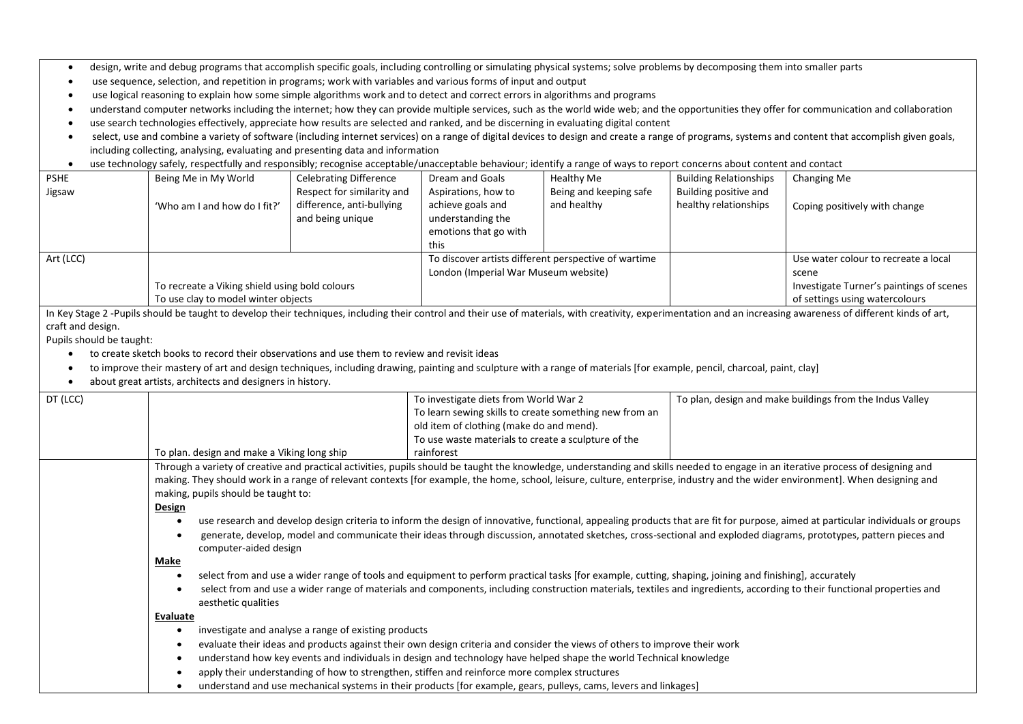- design, write and debug programs that accomplish specific goals, including controlling or simulating physical systems; solve problems by decomposing them into smaller parts
- use sequence, selection, and repetition in programs; work with variables and various forms of input and output
- use logical reasoning to explain how some simple algorithms work and to detect and correct errors in algorithms and programs
- understand computer networks including the internet; how they can provide multiple services, such as the world wide web; and the opportunities they offer for communication and collaboration
- use search technologies effectively, appreciate how results are selected and ranked, and be discerning in evaluating digital content
- select, use and combine a variety of software (including internet services) on a range of digital devices to design and create a range of programs, systems and content that accomplish given goals, including collecting, analysing, evaluating and presenting data and information
- use technology safely, respectfully and responsibly; recognise acceptable/unacceptable behaviour; identify a range of ways to report concerns about content and contact

| <b>PSHE</b> | Being Me in My World                                                                  | <b>Celebrating Difference</b> | Dream and Goals                                      | Healthy Me             | <b>Building Relationships</b> | Changing Me                              |
|-------------|---------------------------------------------------------------------------------------|-------------------------------|------------------------------------------------------|------------------------|-------------------------------|------------------------------------------|
| Jigsaw      |                                                                                       | Respect for similarity and    | Aspirations, how to                                  | Being and keeping safe | Building positive and         |                                          |
|             | 'Who am I and how do I fit?'                                                          | difference, anti-bullying     | achieve goals and                                    | and healthy            | healthy relationships         | Coping positively with change            |
|             |                                                                                       | and being unique              | understanding the                                    |                        |                               |                                          |
|             |                                                                                       |                               | emotions that go with                                |                        |                               |                                          |
|             |                                                                                       |                               | this                                                 |                        |                               |                                          |
| Art (LCC)   | To recreate a Viking shield using bold colours<br>To use clay to model winter objects |                               | To discover artists different perspective of wartime |                        |                               | Use water colour to recreate a local     |
|             |                                                                                       |                               | London (Imperial War Museum website)                 |                        |                               | scene                                    |
|             |                                                                                       |                               |                                                      |                        |                               | Investigate Turner's paintings of scenes |
|             |                                                                                       |                               |                                                      |                        |                               | of settings using watercolours           |
|             |                                                                                       |                               |                                                      |                        |                               |                                          |

In Key Stage 2 -Pupils should be taught to develop their techniques, including their control and their use of materials, with creativity, experimentation and an increasing awareness of different kinds of art, craft and design.

Pupils should be taught:

- to create sketch books to record their observations and use them to review and revisit ideas
- to improve their mastery of art and design techniques, including drawing, painting and sculpture with a range of materials [for example, pencil, charcoal, paint, clay]
- about great artists, architects and designers in history.

| DT (LCC) |                                                                                                                                                                                                                                                                                                                                                                                                                      | To investigate diets from World War 2<br>To learn sewing skills to create something new from an<br>old item of clothing (make do and mend).<br>To use waste materials to create a sculpture of the                                                                                                                                                | To plan, design and make buildings from the Indus Valley |  |  |  |  |
|----------|----------------------------------------------------------------------------------------------------------------------------------------------------------------------------------------------------------------------------------------------------------------------------------------------------------------------------------------------------------------------------------------------------------------------|---------------------------------------------------------------------------------------------------------------------------------------------------------------------------------------------------------------------------------------------------------------------------------------------------------------------------------------------------|----------------------------------------------------------|--|--|--|--|
|          | To plan. design and make a Viking long ship                                                                                                                                                                                                                                                                                                                                                                          | rainforest                                                                                                                                                                                                                                                                                                                                        |                                                          |  |  |  |  |
|          | Through a variety of creative and practical activities, pupils should be taught the knowledge, understanding and skills needed to engage in an iterative process of designing and<br>making. They should work in a range of relevant contexts [for example, the home, school, leisure, culture, enterprise, industry and the wider environment]. When designing and<br>making, pupils should be taught to:<br>Design |                                                                                                                                                                                                                                                                                                                                                   |                                                          |  |  |  |  |
|          | use research and develop design criteria to inform the design of innovative, functional, appealing products that are fit for purpose, aimed at particular individuals or groups<br>generate, develop, model and communicate their ideas through discussion, annotated sketches, cross-sectional and exploded diagrams, prototypes, pattern pieces and<br>computer-aided design                                       |                                                                                                                                                                                                                                                                                                                                                   |                                                          |  |  |  |  |
|          | Make<br>select from and use a wider range of tools and equipment to perform practical tasks [for example, cutting, shaping, joining and finishing], accurately<br>select from and use a wider range of materials and components, including construction materials, textiles and ingredients, according to their functional properties and<br>aesthetic qualities                                                     |                                                                                                                                                                                                                                                                                                                                                   |                                                          |  |  |  |  |
|          | Evaluate                                                                                                                                                                                                                                                                                                                                                                                                             |                                                                                                                                                                                                                                                                                                                                                   |                                                          |  |  |  |  |
|          | investigate and analyse a range of existing products<br>$\bullet$                                                                                                                                                                                                                                                                                                                                                    | evaluate their ideas and products against their own design criteria and consider the views of others to improve their work<br>understand how key events and individuals in design and technology have helped shape the world Technical knowledge<br>apply their understanding of how to strengthen, stiffen and reinforce more complex structures |                                                          |  |  |  |  |
|          |                                                                                                                                                                                                                                                                                                                                                                                                                      | understand and use mechanical systems in their products [for example, gears, pulleys, cams, levers and linkages]                                                                                                                                                                                                                                  |                                                          |  |  |  |  |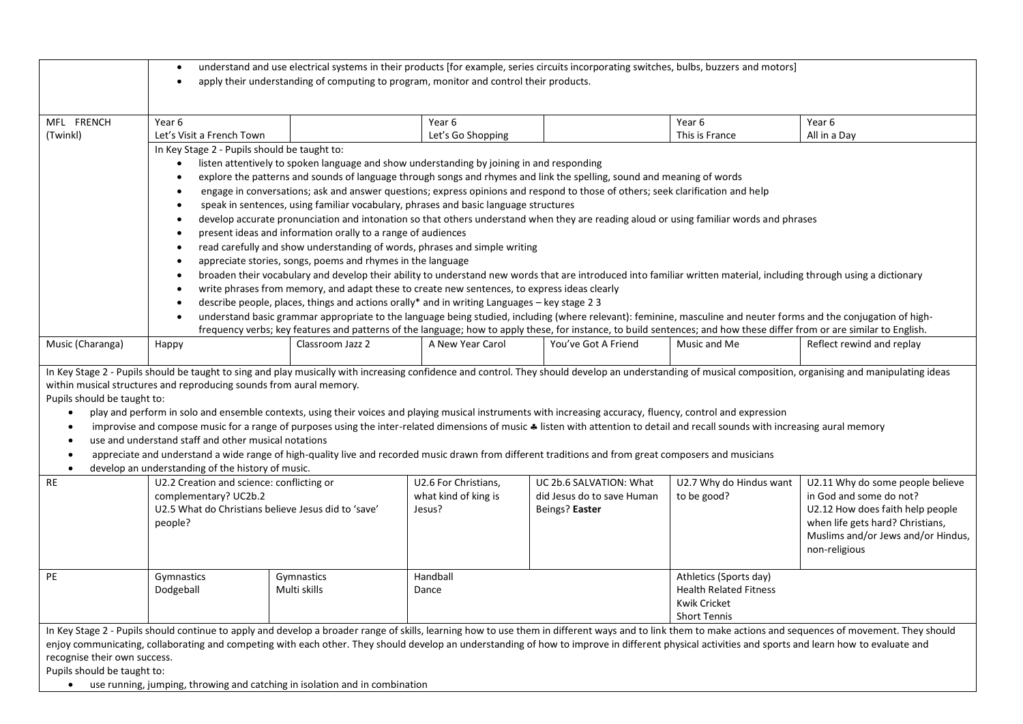|                                                                                                                                                                                                                                                                                                                                                                                                                                                                                                                                                                                                                                                                                                                                                                                                                                                                                                                              | understand and use electrical systems in their products [for example, series circuits incorporating switches, bulbs, buzzers and motors]<br>$\bullet$<br>apply their understanding of computing to program, monitor and control their products.<br>$\bullet$ |                                                                                              |                      |                                                                                                                                                                                               |                                                      |                                                                                                                                                                   |  |  |
|------------------------------------------------------------------------------------------------------------------------------------------------------------------------------------------------------------------------------------------------------------------------------------------------------------------------------------------------------------------------------------------------------------------------------------------------------------------------------------------------------------------------------------------------------------------------------------------------------------------------------------------------------------------------------------------------------------------------------------------------------------------------------------------------------------------------------------------------------------------------------------------------------------------------------|--------------------------------------------------------------------------------------------------------------------------------------------------------------------------------------------------------------------------------------------------------------|----------------------------------------------------------------------------------------------|----------------------|-----------------------------------------------------------------------------------------------------------------------------------------------------------------------------------------------|------------------------------------------------------|-------------------------------------------------------------------------------------------------------------------------------------------------------------------|--|--|
| MFL FRENCH                                                                                                                                                                                                                                                                                                                                                                                                                                                                                                                                                                                                                                                                                                                                                                                                                                                                                                                   | Year 6                                                                                                                                                                                                                                                       |                                                                                              | Year 6               |                                                                                                                                                                                               | Year 6                                               | Year 6                                                                                                                                                            |  |  |
| (Twinkl)                                                                                                                                                                                                                                                                                                                                                                                                                                                                                                                                                                                                                                                                                                                                                                                                                                                                                                                     | Let's Visit a French Town                                                                                                                                                                                                                                    |                                                                                              | Let's Go Shopping    |                                                                                                                                                                                               | This is France                                       | All in a Day                                                                                                                                                      |  |  |
|                                                                                                                                                                                                                                                                                                                                                                                                                                                                                                                                                                                                                                                                                                                                                                                                                                                                                                                              | In Key Stage 2 - Pupils should be taught to:                                                                                                                                                                                                                 |                                                                                              |                      |                                                                                                                                                                                               |                                                      |                                                                                                                                                                   |  |  |
|                                                                                                                                                                                                                                                                                                                                                                                                                                                                                                                                                                                                                                                                                                                                                                                                                                                                                                                              |                                                                                                                                                                                                                                                              | listen attentively to spoken language and show understanding by joining in and responding    |                      |                                                                                                                                                                                               |                                                      |                                                                                                                                                                   |  |  |
|                                                                                                                                                                                                                                                                                                                                                                                                                                                                                                                                                                                                                                                                                                                                                                                                                                                                                                                              | $\bullet$                                                                                                                                                                                                                                                    |                                                                                              |                      | explore the patterns and sounds of language through songs and rhymes and link the spelling, sound and meaning of words                                                                        |                                                      |                                                                                                                                                                   |  |  |
|                                                                                                                                                                                                                                                                                                                                                                                                                                                                                                                                                                                                                                                                                                                                                                                                                                                                                                                              | $\bullet$                                                                                                                                                                                                                                                    |                                                                                              |                      | engage in conversations; ask and answer questions; express opinions and respond to those of others; seek clarification and help                                                               |                                                      |                                                                                                                                                                   |  |  |
|                                                                                                                                                                                                                                                                                                                                                                                                                                                                                                                                                                                                                                                                                                                                                                                                                                                                                                                              | $\bullet$                                                                                                                                                                                                                                                    | speak in sentences, using familiar vocabulary, phrases and basic language structures         |                      |                                                                                                                                                                                               |                                                      |                                                                                                                                                                   |  |  |
|                                                                                                                                                                                                                                                                                                                                                                                                                                                                                                                                                                                                                                                                                                                                                                                                                                                                                                                              | $\bullet$                                                                                                                                                                                                                                                    |                                                                                              |                      | develop accurate pronunciation and intonation so that others understand when they are reading aloud or using familiar words and phrases                                                       |                                                      |                                                                                                                                                                   |  |  |
|                                                                                                                                                                                                                                                                                                                                                                                                                                                                                                                                                                                                                                                                                                                                                                                                                                                                                                                              | $\bullet$                                                                                                                                                                                                                                                    | present ideas and information orally to a range of audiences                                 |                      |                                                                                                                                                                                               |                                                      |                                                                                                                                                                   |  |  |
|                                                                                                                                                                                                                                                                                                                                                                                                                                                                                                                                                                                                                                                                                                                                                                                                                                                                                                                              | $\bullet$                                                                                                                                                                                                                                                    | read carefully and show understanding of words, phrases and simple writing                   |                      |                                                                                                                                                                                               |                                                      |                                                                                                                                                                   |  |  |
|                                                                                                                                                                                                                                                                                                                                                                                                                                                                                                                                                                                                                                                                                                                                                                                                                                                                                                                              | $\bullet$                                                                                                                                                                                                                                                    | appreciate stories, songs, poems and rhymes in the language                                  |                      |                                                                                                                                                                                               |                                                      |                                                                                                                                                                   |  |  |
|                                                                                                                                                                                                                                                                                                                                                                                                                                                                                                                                                                                                                                                                                                                                                                                                                                                                                                                              | $\bullet$                                                                                                                                                                                                                                                    |                                                                                              |                      | broaden their vocabulary and develop their ability to understand new words that are introduced into familiar written material, including through using a dictionary                           |                                                      |                                                                                                                                                                   |  |  |
|                                                                                                                                                                                                                                                                                                                                                                                                                                                                                                                                                                                                                                                                                                                                                                                                                                                                                                                              | $\bullet$                                                                                                                                                                                                                                                    | write phrases from memory, and adapt these to create new sentences, to express ideas clearly |                      |                                                                                                                                                                                               |                                                      |                                                                                                                                                                   |  |  |
|                                                                                                                                                                                                                                                                                                                                                                                                                                                                                                                                                                                                                                                                                                                                                                                                                                                                                                                              | $\bullet$                                                                                                                                                                                                                                                    | describe people, places, things and actions orally* and in writing Languages - key stage 23  |                      |                                                                                                                                                                                               |                                                      |                                                                                                                                                                   |  |  |
|                                                                                                                                                                                                                                                                                                                                                                                                                                                                                                                                                                                                                                                                                                                                                                                                                                                                                                                              | $\bullet$                                                                                                                                                                                                                                                    |                                                                                              |                      |                                                                                                                                                                                               |                                                      | understand basic grammar appropriate to the language being studied, including (where relevant): feminine, masculine and neuter forms and the conjugation of high- |  |  |
| Music (Charanga)                                                                                                                                                                                                                                                                                                                                                                                                                                                                                                                                                                                                                                                                                                                                                                                                                                                                                                             |                                                                                                                                                                                                                                                              | Classroom Jazz 2                                                                             | A New Year Carol     | frequency verbs; key features and patterns of the language; how to apply these, for instance, to build sentences; and how these differ from or are similar to English.<br>You've Got A Friend | Music and Me                                         | Reflect rewind and replay                                                                                                                                         |  |  |
|                                                                                                                                                                                                                                                                                                                                                                                                                                                                                                                                                                                                                                                                                                                                                                                                                                                                                                                              | Happy                                                                                                                                                                                                                                                        |                                                                                              |                      |                                                                                                                                                                                               |                                                      |                                                                                                                                                                   |  |  |
| In Key Stage 2 - Pupils should be taught to sing and play musically with increasing confidence and control. They should develop an understanding of musical composition, organising and manipulating ideas<br>within musical structures and reproducing sounds from aural memory.<br>Pupils should be taught to:<br>play and perform in solo and ensemble contexts, using their voices and playing musical instruments with increasing accuracy, fluency, control and expression<br>$\bullet$<br>improvise and compose music for a range of purposes using the inter-related dimensions of music * listen with attention to detail and recall sounds with increasing aural memory<br>$\bullet$<br>use and understand staff and other musical notations<br>$\bullet$<br>appreciate and understand a wide range of high-quality live and recorded music drawn from different traditions and from great composers and musicians |                                                                                                                                                                                                                                                              |                                                                                              |                      |                                                                                                                                                                                               |                                                      |                                                                                                                                                                   |  |  |
| RE                                                                                                                                                                                                                                                                                                                                                                                                                                                                                                                                                                                                                                                                                                                                                                                                                                                                                                                           | develop an understanding of the history of music.<br>$\bullet$<br>U2.2 Creation and science: conflicting or<br>U2.6 For Christians,<br>UC 2b.6 SALVATION: What<br>U2.7 Why do Hindus want<br>U2.11 Why do some people believe                                |                                                                                              |                      |                                                                                                                                                                                               |                                                      |                                                                                                                                                                   |  |  |
|                                                                                                                                                                                                                                                                                                                                                                                                                                                                                                                                                                                                                                                                                                                                                                                                                                                                                                                              | complementary? UC2b.2                                                                                                                                                                                                                                        |                                                                                              | what kind of king is | did Jesus do to save Human                                                                                                                                                                    | to be good?                                          | in God and some do not?                                                                                                                                           |  |  |
|                                                                                                                                                                                                                                                                                                                                                                                                                                                                                                                                                                                                                                                                                                                                                                                                                                                                                                                              | U2.5 What do Christians believe Jesus did to 'save'<br>people?                                                                                                                                                                                               |                                                                                              | Jesus?               | Beings? Easter                                                                                                                                                                                |                                                      | U2.12 How does faith help people<br>when life gets hard? Christians,<br>Muslims and/or Jews and/or Hindus,<br>non-religious                                       |  |  |
| PE                                                                                                                                                                                                                                                                                                                                                                                                                                                                                                                                                                                                                                                                                                                                                                                                                                                                                                                           | Gymnastics                                                                                                                                                                                                                                                   | Gymnastics                                                                                   | Handball             |                                                                                                                                                                                               | Athletics (Sports day)                               |                                                                                                                                                                   |  |  |
|                                                                                                                                                                                                                                                                                                                                                                                                                                                                                                                                                                                                                                                                                                                                                                                                                                                                                                                              | Dodgeball                                                                                                                                                                                                                                                    | Multi skills                                                                                 | Dance                |                                                                                                                                                                                               | <b>Health Related Fitness</b><br><b>Kwik Cricket</b> |                                                                                                                                                                   |  |  |
|                                                                                                                                                                                                                                                                                                                                                                                                                                                                                                                                                                                                                                                                                                                                                                                                                                                                                                                              |                                                                                                                                                                                                                                                              |                                                                                              |                      |                                                                                                                                                                                               |                                                      |                                                                                                                                                                   |  |  |
|                                                                                                                                                                                                                                                                                                                                                                                                                                                                                                                                                                                                                                                                                                                                                                                                                                                                                                                              | <b>Short Tennis</b>                                                                                                                                                                                                                                          |                                                                                              |                      |                                                                                                                                                                                               |                                                      |                                                                                                                                                                   |  |  |
| In Key Stage 2 - Pupils should continue to apply and develop a broader range of skills, learning how to use them in different ways and to link them to make actions and sequences of movement. They should                                                                                                                                                                                                                                                                                                                                                                                                                                                                                                                                                                                                                                                                                                                   |                                                                                                                                                                                                                                                              |                                                                                              |                      |                                                                                                                                                                                               |                                                      |                                                                                                                                                                   |  |  |
| enjoy communicating, collaborating and competing with each other. They should develop an understanding of how to improve in different physical activities and sports and learn how to evaluate and                                                                                                                                                                                                                                                                                                                                                                                                                                                                                                                                                                                                                                                                                                                           |                                                                                                                                                                                                                                                              |                                                                                              |                      |                                                                                                                                                                                               |                                                      |                                                                                                                                                                   |  |  |
| recognise their own success.                                                                                                                                                                                                                                                                                                                                                                                                                                                                                                                                                                                                                                                                                                                                                                                                                                                                                                 |                                                                                                                                                                                                                                                              |                                                                                              |                      |                                                                                                                                                                                               |                                                      |                                                                                                                                                                   |  |  |
|                                                                                                                                                                                                                                                                                                                                                                                                                                                                                                                                                                                                                                                                                                                                                                                                                                                                                                                              | Pupils should be taught to:<br>use running, jumping, throwing and catching in isolation and in combination                                                                                                                                                   |                                                                                              |                      |                                                                                                                                                                                               |                                                      |                                                                                                                                                                   |  |  |
|                                                                                                                                                                                                                                                                                                                                                                                                                                                                                                                                                                                                                                                                                                                                                                                                                                                                                                                              |                                                                                                                                                                                                                                                              |                                                                                              |                      |                                                                                                                                                                                               |                                                      |                                                                                                                                                                   |  |  |